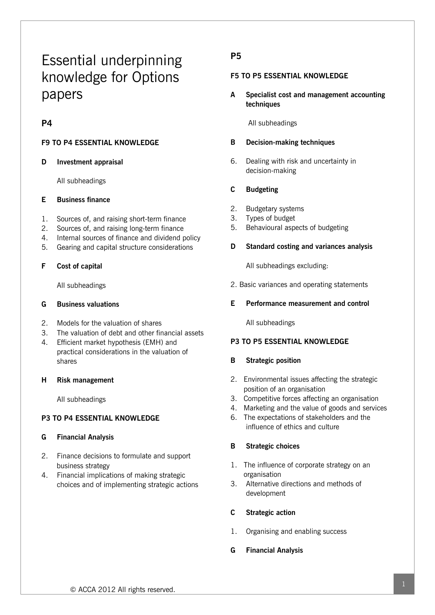# Essential underpinning knowledge for Options papers

# **P4**

# **F9 TO P4 ESSENTIAL KNOWLEDGE**

#### **D Investment appraisal**

All subheadings

# **E Business finance**

- 1. Sources of, and raising short-term finance
- 2. Sources of, and raising long-term finance
- 4. Internal sources of finance and dividend policy
- 5. Gearing and capital structure considerations

# **F Cost of capital**

All subheadings

## **G Business valuations**

- 2. Models for the valuation of shares
- 3. The valuation of debt and other financial assets
- 4. Efficient market hypothesis (EMH) and practical considerations in the valuation of shares

# **H Risk management**

All subheadings

# **P3 TO P4 ESSENTIAL KNOWLEDGE**

# **G Financial Analysis**

- 2. Finance decisions to formulate and support business strategy
- 4. Financial implications of making strategic choices and of implementing strategic actions

# **P5**

# **F5 TO P5 ESSENTIAL KNOWLEDGE**

**A Specialist cost and management accounting techniques** 

All subheadings

# **B Decision-making techniques**

 6. Dealing with risk and uncertainty in decision-making

# **C Budgeting**

- 2. Budgetary systems
- 3. Types of budget
- 5. Behavioural aspects of budgeting

# **D Standard costing and variances analysis**

All subheadings excluding:

2. Basic variances and operating statements

# **E Performance measurement and control**

All subheadings

# **P3 TO P5 ESSENTIAL KNOWLEDGE**

# **B Strategic position**

- 2. Environmental issues affecting the strategic position of an organisation
- 3. Competitive forces affecting an organisation
- 4. Marketing and the value of goods and services
- 6. The expectations of stakeholders and the influence of ethics and culture

# **B Strategic choices**

- 1. The influence of corporate strategy on an organisation
- 3. Alternative directions and methods of development

# **C Strategic action**

- 1. Organising and enabling success
- **G Financial Analysis**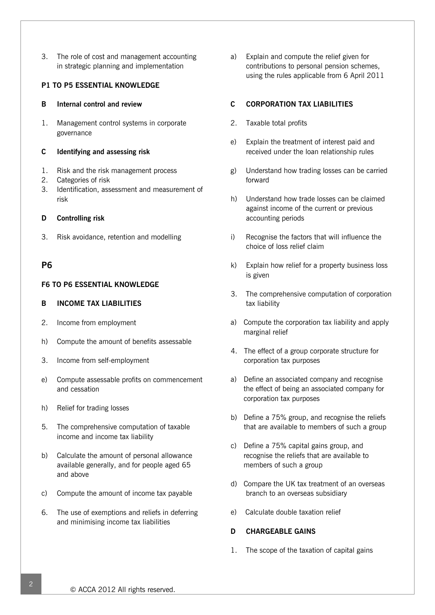3. The role of cost and management accounting in strategic planning and implementation

# **P1 TO P5 ESSENTIAL KNOWLEDGE**

- **B Internal control and review**
- 1. Management control systems in corporate governance

#### **C Identifying and assessing risk**

- 1. Risk and the risk management process
- 2. Categories of risk
- 3. Identification, assessment and measurement of risk

#### **D Controlling risk**

3. Risk avoidance, retention and modelling

# **P6**

# **F6 TO P6 ESSENTIAL KNOWLEDGE**

#### **B INCOME TAX LIABILITIES**

- 2. Income from employment
- h) Compute the amount of benefits assessable
- 3. Income from self-employment
- e) Compute assessable profits on commencement and cessation
- h) Relief for trading losses
- 5. The comprehensive computation of taxable income and income tax liability
- b) Calculate the amount of personal allowance available generally, and for people aged 65 and above
- c) Compute the amount of income tax payable
- 6. The use of exemptions and reliefs in deferring and minimising income tax liabilities

a) Explain and compute the relief given for contributions to personal pension schemes, using the rules applicable from 6 April 2011

# **C CORPORATION TAX LIABILITIES**

- 2. Taxable total profits
- e) Explain the treatment of interest paid and received under the loan relationship rules
- g) Understand how trading losses can be carried forward
- h) Understand how trade losses can be claimed against income of the current or previous accounting periods
- i) Recognise the factors that will influence the choice of loss relief claim
- k) Explain how relief for a property business loss is given
- 3. The comprehensive computation of corporation tax liability
- a) Compute the corporation tax liability and apply marginal relief
- 4. The effect of a group corporate structure for corporation tax purposes
- a) Define an associated company and recognise the effect of being an associated company for corporation tax purposes
- b) Define a 75% group, and recognise the reliefs that are available to members of such a group
- c) Define a 75% capital gains group, and recognise the reliefs that are available to members of such a group
- d) Compare the UK tax treatment of an overseas branch to an overseas subsidiary
- e) Calculate double taxation relief

# **D CHARGEABLE GAINS**

1. The scope of the taxation of capital gains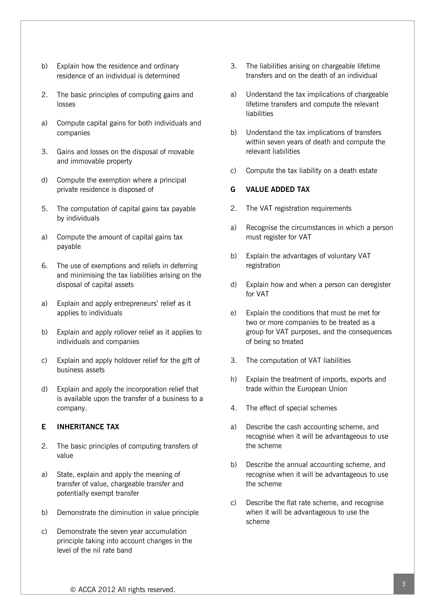- b) Explain how the residence and ordinary residence of an individual is determined
- 2. The basic principles of computing gains and losses
- a) Compute capital gains for both individuals and companies
- 3. Gains and losses on the disposal of movable and immovable property
- d) Compute the exemption where a principal private residence is disposed of
- 5. The computation of capital gains tax payable by individuals
- a) Compute the amount of capital gains tax payable
- 6. The use of exemptions and reliefs in deferring and minimising the tax liabilities arising on the disposal of capital assets
- a) Explain and apply entrepreneurs' relief as it applies to individuals
- b) Explain and apply rollover relief as it applies to individuals and companies
- c) Explain and apply holdover relief for the gift of business assets
- d) Explain and apply the incorporation relief that is available upon the transfer of a business to a company.

# **E INHERITANCE TAX**

- 2. The basic principles of computing transfers of value
- a) State, explain and apply the meaning of transfer of value, chargeable transfer and potentially exempt transfer
- b) Demonstrate the diminution in value principle
- c) Demonstrate the seven year accumulation principle taking into account changes in the level of the nil rate band
- 3. The liabilities arising on chargeable lifetime transfers and on the death of an individual
- a) Understand the tax implications of chargeable lifetime transfers and compute the relevant liabilities
- b) Understand the tax implications of transfers within seven years of death and compute the relevant liabilities
- c) Compute the tax liability on a death estate

# **G VALUE ADDED TAX**

- 2. The VAT registration requirements
- a) Recognise the circumstances in which a person must register for VAT
- b) Explain the advantages of voluntary VAT registration
- d) Explain how and when a person can deregister for VAT
- e) Explain the conditions that must be met for two or more companies to be treated as a group for VAT purposes, and the consequences of being so treated
- 3. The computation of VAT liabilities
- h) Explain the treatment of imports, exports and trade within the European Union
- 4. The effect of special schemes
- a) Describe the cash accounting scheme, and recognise when it will be advantageous to use the scheme
- b) Describe the annual accounting scheme, and recognise when it will be advantageous to use the scheme
- c) Describe the flat rate scheme, and recognise when it will be advantageous to use the scheme